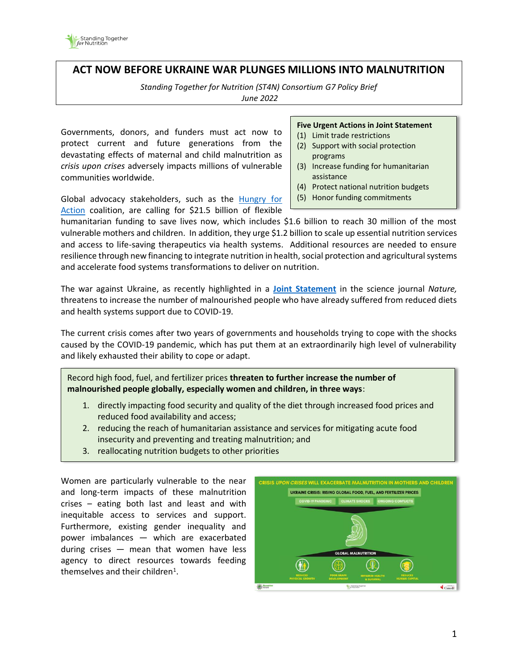

## **ACT NOW BEFORE UKRAINE WAR PLUNGES MILLIONS INTO MALNUTRITION**

*Standing Together for Nutrition (ST4N) Consortium G7 Policy Brief June 2022*

Governments, donors, and funders must act now to protect current and future generations from the devastating effects of maternal and child malnutrition as *crisis upon crises* adversely impacts millions of vulnerable communities worldwide.

**Five Urgent Actions in Joint Statement** 

- (1) Limit trade restrictions
- (2) Support with social protection programs
- (3) Increase funding for humanitarian assistance
- (4) Protect national nutrition budgets
- (5) Honor funding commitments

Global advocacy stakeholders, such as the [Hungry for](https://sdg2advocacyhub.org/actions/urgent-action-needed-prevent-global-food-nutrition)  [Action](https://sdg2advocacyhub.org/actions/urgent-action-needed-prevent-global-food-nutrition) coalition, are calling for \$21.5 billion of flexible

humanitarian funding to save lives now, which includes \$1.6 billion to reach 30 million of the most vulnerable mothers and children. In addition, they urge \$1.2 billion to scale up essential nutrition services and access to life-saving therapeutics via health systems. Additional resources are needed to ensure resilience through new financing to integrate nutrition in health, social protection and agricultural systems and accelerate food systems transformations to deliver on nutrition.

The war against Ukraine, as recently highlighted in a **[Joint Statement](https://www.nature.com/articles/d41586-022-01076-5)** in the science journal *Nature,* threatens to increase the number of malnourished people who have already suffered from reduced diets and health systems support due to COVID-19.

The current crisis comes after two years of governments and households trying to cope with the shocks caused by the COVID-19 pandemic, which has put them at an extraordinarily high level of vulnerability and likely exhausted their ability to cope or adapt.

Record high food, fuel, and fertilizer prices **threaten to further increase the number of malnourished people globally, especially women and children, in three ways**:

- 1. directly impacting food security and quality of the diet through increased food prices and reduced food availability and access;
- 2. reducing the reach of humanitarian assistance and services for mitigating acute food insecurity and preventing and treating malnutrition; and
- 3. reallocating nutrition budgets to other priorities

Women are particularly vulnerable to the near and long-term impacts of these malnutrition crises – eating both last and least and with inequitable access to services and support. Furthermore, existing gender inequality and power imbalances — which are exacerbated during crises — mean that women have less agency to direct resources towards feeding themselves and their children<sup>1</sup>.